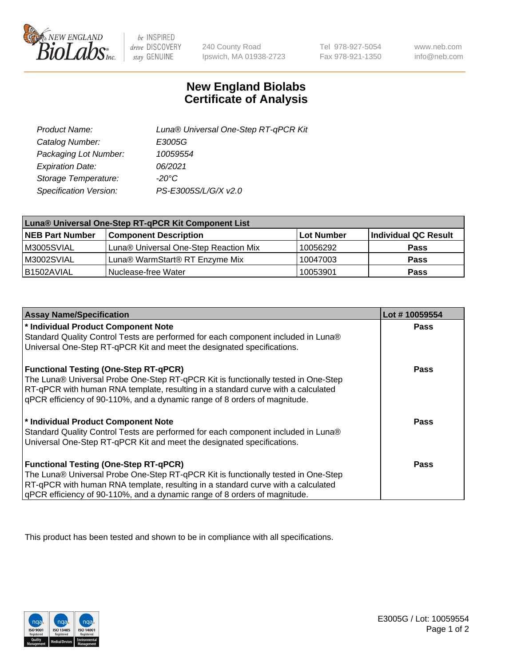

 $be$  INSPIRED drive DISCOVERY stay GENUINE

240 County Road Ipswich, MA 01938-2723

Tel 978-927-5054 Fax 978-921-1350

www.neb.com info@neb.com

## **New England Biolabs Certificate of Analysis**

| Luna® Universal One-Step RT-qPCR Kit |
|--------------------------------------|
| E3005G                               |
| 10059554                             |
| 06/2021                              |
| $-20^{\circ}$ C                      |
| PS-E3005S/L/G/X v2.0                 |
|                                      |

| Luna® Universal One-Step RT-qPCR Kit Component List |                                       |            |                      |  |
|-----------------------------------------------------|---------------------------------------|------------|----------------------|--|
| <b>NEB Part Number</b>                              | <b>Component Description</b>          | Lot Number | Individual QC Result |  |
| M3005SVIAL                                          | Luna® Universal One-Step Reaction Mix | 10056292   | <b>Pass</b>          |  |
| M3002SVIAL                                          | Luna® WarmStart® RT Enzyme Mix        | 10047003   | <b>Pass</b>          |  |
| B1502AVIAL                                          | Nuclease-free Water                   | 10053901   | <b>Pass</b>          |  |

| <b>Assay Name/Specification</b>                                                   | Lot #10059554 |
|-----------------------------------------------------------------------------------|---------------|
| * Individual Product Component Note                                               | <b>Pass</b>   |
| Standard Quality Control Tests are performed for each component included in Luna® |               |
| Universal One-Step RT-qPCR Kit and meet the designated specifications.            |               |
| <b>Functional Testing (One-Step RT-qPCR)</b>                                      | Pass          |
| The Luna® Universal Probe One-Step RT-qPCR Kit is functionally tested in One-Step |               |
| RT-qPCR with human RNA template, resulting in a standard curve with a calculated  |               |
| gPCR efficiency of 90-110%, and a dynamic range of 8 orders of magnitude.         |               |
| * Individual Product Component Note                                               | Pass          |
| Standard Quality Control Tests are performed for each component included in Luna® |               |
| Universal One-Step RT-qPCR Kit and meet the designated specifications.            |               |
| <b>Functional Testing (One-Step RT-qPCR)</b>                                      | <b>Pass</b>   |
| The Luna® Universal Probe One-Step RT-qPCR Kit is functionally tested in One-Step |               |
| RT-qPCR with human RNA template, resulting in a standard curve with a calculated  |               |
| gPCR efficiency of 90-110%, and a dynamic range of 8 orders of magnitude.         |               |

This product has been tested and shown to be in compliance with all specifications.